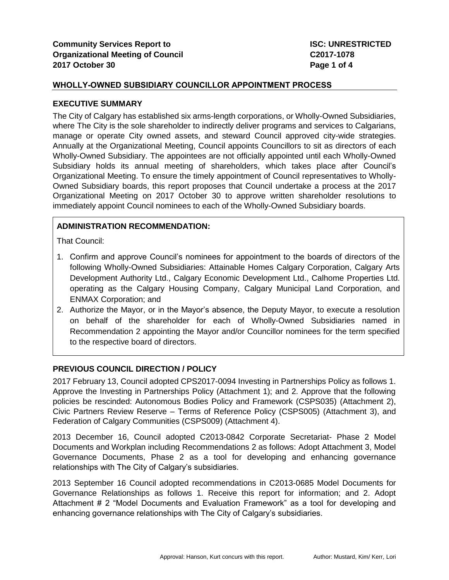#### **EXECUTIVE SUMMARY**

The City of Calgary has established six arms-length corporations, or Wholly-Owned Subsidiaries, where The City is the sole shareholder to indirectly deliver programs and services to Calgarians, manage or operate City owned assets, and steward Council approved city-wide strategies. Annually at the Organizational Meeting, Council appoints Councillors to sit as directors of each Wholly-Owned Subsidiary. The appointees are not officially appointed until each Wholly-Owned Subsidiary holds its annual meeting of shareholders, which takes place after Council's Organizational Meeting. To ensure the timely appointment of Council representatives to Wholly-Owned Subsidiary boards, this report proposes that Council undertake a process at the 2017 Organizational Meeting on 2017 October 30 to approve written shareholder resolutions to immediately appoint Council nominees to each of the Wholly-Owned Subsidiary boards.

## **ADMINISTRATION RECOMMENDATION:**

That Council:

- 1. Confirm and approve Council's nominees for appointment to the boards of directors of the following Wholly-Owned Subsidiaries: Attainable Homes Calgary Corporation, Calgary Arts Development Authority Ltd., Calgary Economic Development Ltd., Calhome Properties Ltd. operating as the Calgary Housing Company, Calgary Municipal Land Corporation, and ENMAX Corporation; and
- 2. Authorize the Mayor, or in the Mayor's absence, the Deputy Mayor, to execute a resolution on behalf of the shareholder for each of Wholly-Owned Subsidiaries named in Recommendation 2 appointing the Mayor and/or Councillor nominees for the term specified to the respective board of directors.

# **PREVIOUS COUNCIL DIRECTION / POLICY**

2017 February 13, Council adopted CPS2017-0094 Investing in Partnerships Policy as follows 1. Approve the Investing in Partnerships Policy (Attachment 1); and 2. Approve that the following policies be rescinded: Autonomous Bodies Policy and Framework (CSPS035) (Attachment 2), Civic Partners Review Reserve – Terms of Reference Policy (CSPS005) (Attachment 3), and Federation of Calgary Communities (CSPS009) (Attachment 4).

2013 December 16, Council adopted C2013-0842 Corporate Secretariat- Phase 2 Model Documents and Workplan including Recommendations 2 as follows: Adopt Attachment 3, Model Governance Documents, Phase 2 as a tool for developing and enhancing governance relationships with The City of Calgary's subsidiaries.

2013 September 16 Council adopted recommendations in C2013-0685 Model Documents for Governance Relationships as follows 1. Receive this report for information; and 2. Adopt Attachment # 2 "Model Documents and Evaluation Framework" as a tool for developing and enhancing governance relationships with The City of Calgary's subsidiaries.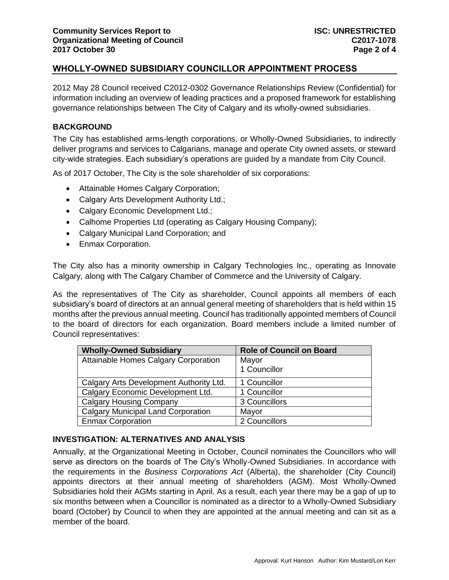2012 May 28 Council received C2012-0302 Governance Relationships Review (Confidential) for information including an overview of leading practices and a proposed framework for establishing governance relationships between The City of Calgary and its wholly-owned subsidiaries.

## **BACKGROUND**

The City has established arms-length corporations, or Wholly-Owned Subsidiaries, to indirectly deliver programs and services to Calgarians, manage and operate City owned assets, or steward city-wide strategies. Each subsidiary's operations are guided by a mandate from City Council.

As of 2017 October, The City is the sole shareholder of six corporations:

- Attainable Homes Calgary Corporation;
- Calgary Arts Development Authority Ltd.;
- Calgary Economic Development Ltd.;
- Calhome Properties Ltd (operating as Calgary Housing Company);
- Calgary Municipal Land Corporation; and
- Enmax Corporation.

The City also has a minority ownership in Calgary Technologies Inc., operating as Innovate Calgary, along with The Calgary Chamber of Commerce and the University of Calgary.

As the representatives of The City as shareholder, Council appoints all members of each subsidiary's board of directors at an annual general meeting of shareholders that is held within 15 months after the previous annual meeting. Council has traditionally appointed members of Council to the board of directors for each organization. Board members include a limited number of Council representatives:

| <b>Wholly-Owned Subsidiary</b>            | <b>Role of Council on Board</b> |
|-------------------------------------------|---------------------------------|
| Attainable Homes Calgary Corporation      | Mayor                           |
|                                           | 1 Councillor                    |
| Calgary Arts Development Authority Ltd.   | 1 Councillor                    |
| Calgary Economic Development Ltd.         | 1 Councillor                    |
| <b>Calgary Housing Company</b>            | 3 Councillors                   |
| <b>Calgary Municipal Land Corporation</b> | Mayor                           |
| <b>Enmax Corporation</b>                  | 2 Councillors                   |

# **INVESTIGATION: ALTERNATIVES AND ANALYSIS**

Annually, at the Organizational Meeting in October, Council nominates the Councillors who will serve as directors on the boards of The City's Wholly-Owned Subsidiaries. In accordance with the requirements in the *Business Corporations Act* (Alberta), the shareholder (City Council) appoints directors at their annual meeting of shareholders (AGM). Most Wholly-Owned Subsidiaries hold their AGMs starting in April. As a result, each year there may be a gap of up to six months between when a Councillor is nominated as a director to a Wholly-Owned Subsidiary board (October) by Council to when they are appointed at the annual meeting and can sit as a member of the board.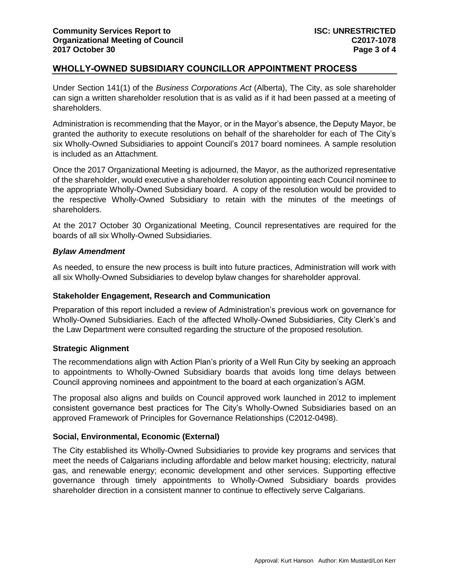Under Section 141(1) of the *Business Corporations Act* (Alberta), The City, as sole shareholder can sign a written shareholder resolution that is as valid as if it had been passed at a meeting of shareholders.

Administration is recommending that the Mayor, or in the Mayor's absence, the Deputy Mayor, be granted the authority to execute resolutions on behalf of the shareholder for each of The City's six Wholly-Owned Subsidiaries to appoint Council's 2017 board nominees. A sample resolution is included as an Attachment.

Once the 2017 Organizational Meeting is adjourned, the Mayor, as the authorized representative of the shareholder, would executive a shareholder resolution appointing each Council nominee to the appropriate Wholly-Owned Subsidiary board. A copy of the resolution would be provided to the respective Wholly-Owned Subsidiary to retain with the minutes of the meetings of shareholders.

At the 2017 October 30 Organizational Meeting, Council representatives are required for the boards of all six Wholly-Owned Subsidiaries.

### *Bylaw Amendment*

As needed, to ensure the new process is built into future practices, Administration will work with all six Wholly-Owned Subsidiaries to develop bylaw changes for shareholder approval.

### **Stakeholder Engagement, Research and Communication**

Preparation of this report included a review of Administration's previous work on governance for Wholly-Owned Subsidiaries. Each of the affected Wholly-Owned Subsidiaries, City Clerk's and the Law Department were consulted regarding the structure of the proposed resolution.

### **Strategic Alignment**

The recommendations align with Action Plan's priority of a Well Run City by seeking an approach to appointments to Wholly-Owned Subsidiary boards that avoids long time delays between Council approving nominees and appointment to the board at each organization's AGM.

The proposal also aligns and builds on Council approved work launched in 2012 to implement consistent governance best practices for The City's Wholly-Owned Subsidiaries based on an approved Framework of Principles for Governance Relationships (C2012-0498).

# **Social, Environmental, Economic (External)**

The City established its Wholly-Owned Subsidiaries to provide key programs and services that meet the needs of Calgarians including affordable and below market housing; electricity, natural gas, and renewable energy; economic development and other services. Supporting effective governance through timely appointments to Wholly-Owned Subsidiary boards provides shareholder direction in a consistent manner to continue to effectively serve Calgarians.